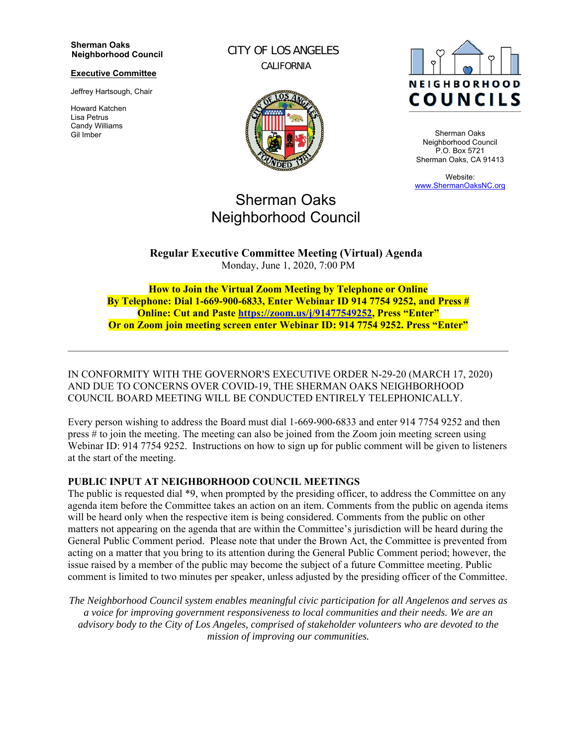#### **Sherman Oaks Neighborhood Council**

#### **Executive Committee**

Jeffrey Hartsough, Chair

Howard Katchen Lisa Petrus Candy Williams Gil Imber

CITY OF LOS ANGELES CALIFORNIA



# Sherman Oaks Neighborhood Council

**NEIGHBORHOOD COUNCILS** 

Sherman Oaks Neighborhood Council P.O. Box 5721 Sherman Oaks, CA 91413

Website: www.ShermanOaksNC.org

**Regular Executive Committee Meeting (Virtual) Agenda**  Monday, June 1, 2020, 7:00 PM

**How to Join the Virtual Zoom Meeting by Telephone or Online By Telephone: Dial 1-669-900-6833, Enter Webinar ID 914 7754 9252, and Press # Online: Cut and Paste https://zoom.us/j/91477549252, Press "Enter" Or on Zoom join meeting screen enter Webinar ID: 914 7754 9252. Press "Enter"** 

IN CONFORMITY WITH THE GOVERNOR'S EXECUTIVE ORDER N-29-20 (MARCH 17, 2020) AND DUE TO CONCERNS OVER COVID-19, THE SHERMAN OAKS NEIGHBORHOOD COUNCIL BOARD MEETING WILL BE CONDUCTED ENTIRELY TELEPHONICALLY.

Every person wishing to address the Board must dial 1-669-900-6833 and enter 914 7754 9252 and then press # to join the meeting. The meeting can also be joined from the Zoom join meeting screen using Webinar ID: 914 7754 9252. Instructions on how to sign up for public comment will be given to listeners at the start of the meeting.

#### **PUBLIC INPUT AT NEIGHBORHOOD COUNCIL MEETINGS**

The public is requested dial \*9, when prompted by the presiding officer, to address the Committee on any agenda item before the Committee takes an action on an item. Comments from the public on agenda items will be heard only when the respective item is being considered. Comments from the public on other matters not appearing on the agenda that are within the Committee's jurisdiction will be heard during the General Public Comment period. Please note that under the Brown Act, the Committee is prevented from acting on a matter that you bring to its attention during the General Public Comment period; however, the issue raised by a member of the public may become the subject of a future Committee meeting. Public comment is limited to two minutes per speaker, unless adjusted by the presiding officer of the Committee.

*The Neighborhood Council system enables meaningful civic participation for all Angelenos and serves as a voice for improving government responsiveness to local communities and their needs. We are an advisory body to the City of Los Angeles, comprised of stakeholder volunteers who are devoted to the mission of improving our communities.*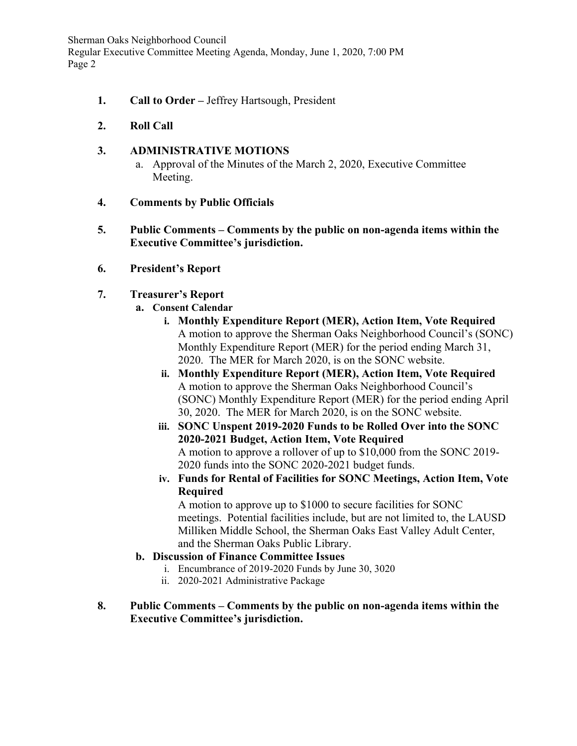Sherman Oaks Neighborhood Council Regular Executive Committee Meeting Agenda, Monday, June 1, 2020, 7:00 PM Page 2

- **1. Call to Order** Jeffrey Hartsough, President
- **2. Roll Call**

# **3. ADMINISTRATIVE MOTIONS**

- a. Approval of the Minutes of the March 2, 2020, Executive Committee Meeting.
- **4. Comments by Public Officials**
- **5. Public Comments Comments by the public on non-agenda items within the Executive Committee's jurisdiction.**
- **6. President's Report**
- **7. Treasurer's Report** 
	- **a. Consent Calendar** 
		- **i. Monthly Expenditure Report (MER), Action Item, Vote Required**  A motion to approve the Sherman Oaks Neighborhood Council's (SONC) Monthly Expenditure Report (MER) for the period ending March 31, 2020. The MER for March 2020, is on the SONC website.
		- **ii. Monthly Expenditure Report (MER), Action Item, Vote Required**  A motion to approve the Sherman Oaks Neighborhood Council's (SONC) Monthly Expenditure Report (MER) for the period ending April 30, 2020. The MER for March 2020, is on the SONC website.
		- **iii. SONC Unspent 2019-2020 Funds to be Rolled Over into the SONC 2020-2021 Budget, Action Item, Vote Required**  A motion to approve a rollover of up to \$10,000 from the SONC 2019- 2020 funds into the SONC 2020-2021 budget funds.
		- **iv. Funds for Rental of Facilities for SONC Meetings, Action Item, Vote Required**

A motion to approve up to \$1000 to secure facilities for SONC meetings. Potential facilities include, but are not limited to, the LAUSD Milliken Middle School, the Sherman Oaks East Valley Adult Center, and the Sherman Oaks Public Library.

## **b. Discussion of Finance Committee Issues**

- i. Encumbrance of 2019-2020 Funds by June 30, 3020
- ii. 2020-2021 Administrative Package
- **8. Public Comments Comments by the public on non-agenda items within the Executive Committee's jurisdiction.**